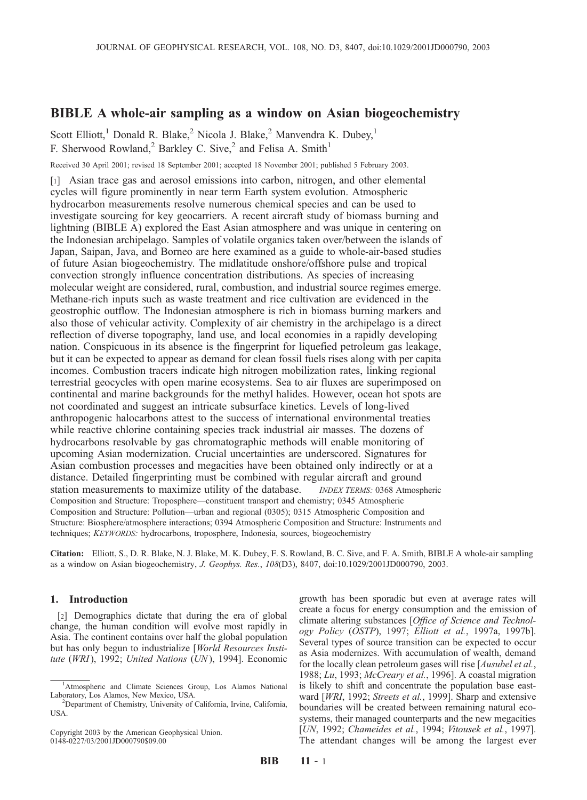# BIBLE A whole-air sampling as a window on Asian biogeochemistry

Scott Elliott,<sup>1</sup> Donald R. Blake,<sup>2</sup> Nicola J. Blake,<sup>2</sup> Manvendra K. Dubey,<sup>1</sup> F. Sherwood Rowland,<sup>2</sup> Barkley C. Sive,<sup>2</sup> and Felisa A. Smith<sup>1</sup>

Received 30 April 2001; revised 18 September 2001; accepted 18 November 2001; published 5 February 2003.

[1] Asian trace gas and aerosol emissions into carbon, nitrogen, and other elemental cycles will figure prominently in near term Earth system evolution. Atmospheric hydrocarbon measurements resolve numerous chemical species and can be used to investigate sourcing for key geocarriers. A recent aircraft study of biomass burning and lightning (BIBLE A) explored the East Asian atmosphere and was unique in centering on the Indonesian archipelago. Samples of volatile organics taken over/between the islands of Japan, Saipan, Java, and Borneo are here examined as a guide to whole-air-based studies of future Asian biogeochemistry. The midlatitude onshore/offshore pulse and tropical convection strongly influence concentration distributions. As species of increasing molecular weight are considered, rural, combustion, and industrial source regimes emerge. Methane-rich inputs such as waste treatment and rice cultivation are evidenced in the geostrophic outflow. The Indonesian atmosphere is rich in biomass burning markers and also those of vehicular activity. Complexity of air chemistry in the archipelago is a direct reflection of diverse topography, land use, and local economies in a rapidly developing nation. Conspicuous in its absence is the fingerprint for liquefied petroleum gas leakage, but it can be expected to appear as demand for clean fossil fuels rises along with per capita incomes. Combustion tracers indicate high nitrogen mobilization rates, linking regional terrestrial geocycles with open marine ecosystems. Sea to air fluxes are superimposed on continental and marine backgrounds for the methyl halides. However, ocean hot spots are not coordinated and suggest an intricate subsurface kinetics. Levels of long-lived anthropogenic halocarbons attest to the success of international environmental treaties while reactive chlorine containing species track industrial air masses. The dozens of hydrocarbons resolvable by gas chromatographic methods will enable monitoring of upcoming Asian modernization. Crucial uncertainties are underscored. Signatures for Asian combustion processes and megacities have been obtained only indirectly or at a distance. Detailed fingerprinting must be combined with regular aircraft and ground station measurements to maximize utility of the database. INDEX TERMS: 0368 Atmospheric Composition and Structure: Troposphere—constituent transport and chemistry; 0345 Atmospheric Composition and Structure: Pollution—urban and regional (0305); 0315 Atmospheric Composition and Structure: Biosphere/atmosphere interactions; 0394 Atmospheric Composition and Structure: Instruments and techniques; KEYWORDS: hydrocarbons, troposphere, Indonesia, sources, biogeochemistry

Citation: Elliott, S., D. R. Blake, N. J. Blake, M. K. Dubey, F. S. Rowland, B. C. Sive, and F. A. Smith, BIBLE A whole-air sampling as a window on Asian biogeochemistry, J. Geophys. Res., 108(D3), 8407, doi:10.1029/2001JD000790, 2003.

## 1. Introduction

[2] Demographics dictate that during the era of global change, the human condition will evolve most rapidly in Asia. The continent contains over half the global population but has only begun to industrialize [World Resources Institute (WRI), 1992; United Nations (UN), 1994]. Economic

Copyright 2003 by the American Geophysical Union. 0148-0227/03/2001JD000790\$09.00

growth has been sporadic but even at average rates will create a focus for energy consumption and the emission of climate altering substances [Office of Science and Technology Policy (OSTP), 1997; Elliott et al., 1997a, 1997b]. Several types of source transition can be expected to occur as Asia modernizes. With accumulation of wealth, demand for the locally clean petroleum gases will rise [Ausubel et al., 1988; Lu, 1993; McCreary et al., 1996]. A coastal migration is likely to shift and concentrate the population base eastward [WRI, 1992; Streets et al., 1999]. Sharp and extensive boundaries will be created between remaining natural ecosystems, their managed counterparts and the new megacities [UN, 1992; Chameides et al., 1994; Vitousek et al., 1997]. The attendant changes will be among the largest ever

<sup>&</sup>lt;sup>1</sup>Atmospheric and Climate Sciences Group, Los Alamos National Laboratory, Los Alamos, New Mexico, USA. <sup>2</sup>

<sup>&</sup>lt;sup>2</sup>Department of Chemistry, University of California, Irvine, California, USA.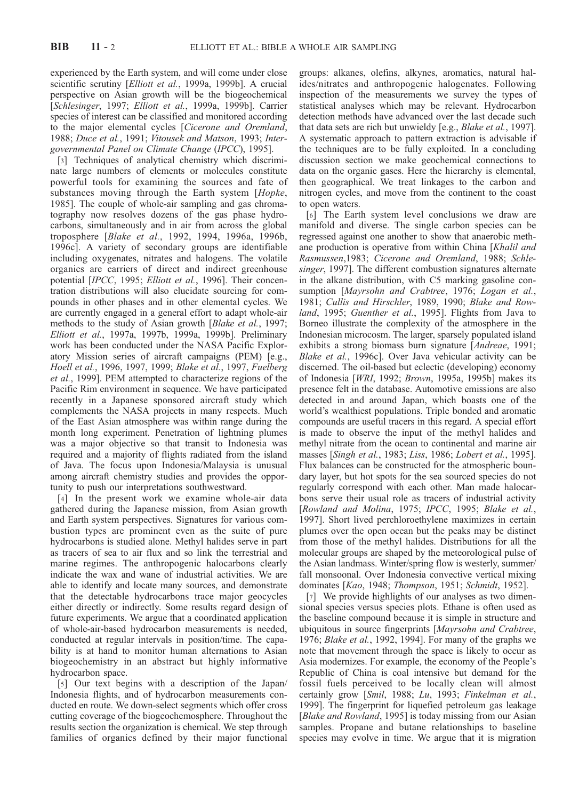experienced by the Earth system, and will come under close scientific scrutiny [Elliott et al., 1999a, 1999b]. A crucial perspective on Asian growth will be the biogeochemical [Schlesinger, 1997; Elliott et al., 1999a, 1999b]. Carrier species of interest can be classified and monitored according to the major elemental cycles [Cicerone and Oremland, 1988; Duce et al., 1991; Vitousek and Matson, 1993; Intergovernmental Panel on Climate Change (IPCC), 1995].

[3] Techniques of analytical chemistry which discriminate large numbers of elements or molecules constitute powerful tools for examining the sources and fate of substances moving through the Earth system [Hopke, 1985]. The couple of whole-air sampling and gas chromatography now resolves dozens of the gas phase hydrocarbons, simultaneously and in air from across the global troposphere [Blake et al., 1992, 1994, 1996a, 1996b, 1996c]. A variety of secondary groups are identifiable including oxygenates, nitrates and halogens. The volatile organics are carriers of direct and indirect greenhouse potential [IPCC, 1995; Elliott et al., 1996]. Their concentration distributions will also elucidate sourcing for compounds in other phases and in other elemental cycles. We are currently engaged in a general effort to adapt whole-air methods to the study of Asian growth [Blake et al., 1997; Elliott et al., 1997a, 1997b, 1999a, 1999b]. Preliminary work has been conducted under the NASA Pacific Exploratory Mission series of aircraft campaigns (PEM) [e.g., Hoell et al., 1996, 1997, 1999; Blake et al., 1997, Fuelberg et al., 1999]. PEM attempted to characterize regions of the Pacific Rim environment in sequence. We have participated recently in a Japanese sponsored aircraft study which complements the NASA projects in many respects. Much of the East Asian atmosphere was within range during the month long experiment. Penetration of lightning plumes was a major objective so that transit to Indonesia was required and a majority of flights radiated from the island of Java. The focus upon Indonesia/Malaysia is unusual among aircraft chemistry studies and provides the opportunity to push our interpretations southwestward.

[4] In the present work we examine whole-air data gathered during the Japanese mission, from Asian growth and Earth system perspectives. Signatures for various combustion types are prominent even as the suite of pure hydrocarbons is studied alone. Methyl halides serve in part as tracers of sea to air flux and so link the terrestrial and marine regimes. The anthropogenic halocarbons clearly indicate the wax and wane of industrial activities. We are able to identify and locate many sources, and demonstrate that the detectable hydrocarbons trace major geocycles either directly or indirectly. Some results regard design of future experiments. We argue that a coordinated application of whole-air-based hydrocarbon measurements is needed, conducted at regular intervals in position/time. The capability is at hand to monitor human alternations to Asian biogeochemistry in an abstract but highly informative hydrocarbon space.

[5] Our text begins with a description of the Japan/ Indonesia flights, and of hydrocarbon measurements conducted en route. We down-select segments which offer cross cutting coverage of the biogeochemosphere. Throughout the results section the organization is chemical. We step through families of organics defined by their major functional

groups: alkanes, olefins, alkynes, aromatics, natural halides/nitrates and anthropogenic halogenates. Following inspection of the measurements we survey the types of statistical analyses which may be relevant. Hydrocarbon detection methods have advanced over the last decade such that data sets are rich but unwieldy [e.g., Blake et al., 1997]. A systematic approach to pattern extraction is advisable if the techniques are to be fully exploited. In a concluding discussion section we make geochemical connections to data on the organic gases. Here the hierarchy is elemental, then geographical. We treat linkages to the carbon and nitrogen cycles, and move from the continent to the coast to open waters.

[6] The Earth system level conclusions we draw are manifold and diverse. The single carbon species can be regressed against one another to show that anaerobic methane production is operative from within China [Khalil and Rasmussen,1983; Cicerone and Oremland, 1988; Schlesinger, 1997]. The different combustion signatures alternate in the alkane distribution, with C5 marking gasoline consumption [Mayrsohn and Crabtree, 1976; Logan et al., 1981; Cullis and Hirschler, 1989, 1990; Blake and Rowland, 1995; Guenther et al., 1995]. Flights from Java to Borneo illustrate the complexity of the atmosphere in the Indonesian microcosm. The larger, sparsely populated island exhibits a strong biomass burn signature [Andreae, 1991; Blake et al., 1996c]. Over Java vehicular activity can be discerned. The oil-based but eclectic (developing) economy of Indonesia [WRI, 1992; Brown, 1995a, 1995b] makes its presence felt in the database. Automotive emissions are also detected in and around Japan, which boasts one of the world's wealthiest populations. Triple bonded and aromatic compounds are useful tracers in this regard. A special effort is made to observe the input of the methyl halides and methyl nitrate from the ocean to continental and marine air masses [Singh et al., 1983; Liss, 1986; Lobert et al., 1995]. Flux balances can be constructed for the atmospheric boundary layer, but hot spots for the sea sourced species do not regularly correspond with each other. Man made halocarbons serve their usual role as tracers of industrial activity [Rowland and Molina, 1975; IPCC, 1995; Blake et al., 1997]. Short lived perchloroethylene maximizes in certain plumes over the open ocean but the peaks may be distinct from those of the methyl halides. Distributions for all the molecular groups are shaped by the meteorological pulse of the Asian landmass. Winter/spring flow is westerly, summer/ fall monsoonal. Over Indonesia convective vertical mixing dominates [Kao, 1948; Thompson, 1951; Schmidt, 1952].

[7] We provide highlights of our analyses as two dimensional species versus species plots. Ethane is often used as the baseline compound because it is simple in structure and ubiquitous in source fingerprints [Mayrsohn and Crabtree, 1976; Blake et al., 1992, 1994]. For many of the graphs we note that movement through the space is likely to occur as Asia modernizes. For example, the economy of the People's Republic of China is coal intensive but demand for the fossil fuels perceived to be locally clean will almost certainly grow [Smil, 1988; Lu, 1993; Finkelman et al., 1999]. The fingerprint for liquefied petroleum gas leakage [Blake and Rowland, 1995] is today missing from our Asian samples. Propane and butane relationships to baseline species may evolve in time. We argue that it is migration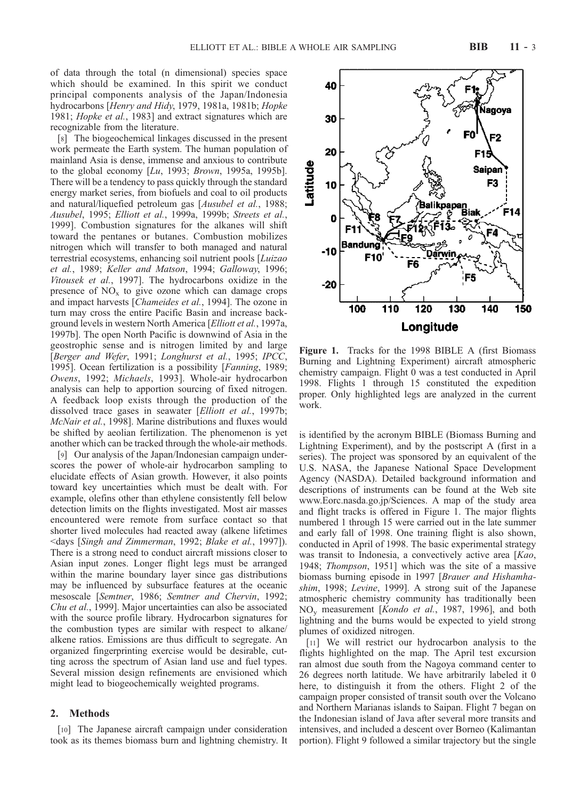of data through the total (n dimensional) species space which should be examined. In this spirit we conduct principal components analysis of the Japan/Indonesia hydrocarbons [Henry and Hidy, 1979, 1981a, 1981b; Hopke 1981; *Hopke et al.*, 1983] and extract signatures which are recognizable from the literature.

[8] The biogeochemical linkages discussed in the present work permeate the Earth system. The human population of mainland Asia is dense, immense and anxious to contribute to the global economy  $[Lu, 1993; Brown, 1995a, 1995b]$ . There will be a tendency to pass quickly through the standard energy market series, from biofuels and coal to oil products and natural/liquefied petroleum gas [Ausubel et al., 1988; Ausubel, 1995; Elliott et al., 1999a, 1999b; Streets et al., 1999]. Combustion signatures for the alkanes will shift toward the pentanes or butanes. Combustion mobilizes nitrogen which will transfer to both managed and natural terrestrial ecosystems, enhancing soil nutrient pools [Luizao et al., 1989; Keller and Matson, 1994; Galloway, 1996; Vitousek et al., 1997]. The hydrocarbons oxidize in the presence of  $NO<sub>x</sub>$  to give ozone which can damage crops and impact harvests [Chameides et al., 1994]. The ozone in turn may cross the entire Pacific Basin and increase background levels in western North America [Elliott et al., 1997a, 1997b]. The open North Pacific is downwind of Asia in the geostrophic sense and is nitrogen limited by and large [Berger and Wefer, 1991; Longhurst et al., 1995; IPCC, 1995]. Ocean fertilization is a possibility [Fanning, 1989; Owens, 1992; Michaels, 1993]. Whole-air hydrocarbon analysis can help to apportion sourcing of fixed nitrogen. A feedback loop exists through the production of the dissolved trace gases in seawater [Elliott et al., 1997b; McNair et al., 1998]. Marine distributions and fluxes would be shifted by aeolian fertilization. The phenomenon is yet another which can be tracked through the whole-air methods.

[9] Our analysis of the Japan/Indonesian campaign underscores the power of whole-air hydrocarbon sampling to elucidate effects of Asian growth. However, it also points toward key uncertainties which must be dealt with. For example, olefins other than ethylene consistently fell below detection limits on the flights investigated. Most air masses encountered were remote from surface contact so that shorter lived molecules had reacted away (alkene lifetimes <days [Singh and Zimmerman, 1992; Blake et al., 1997]). There is a strong need to conduct aircraft missions closer to Asian input zones. Longer flight legs must be arranged within the marine boundary layer since gas distributions may be influenced by subsurface features at the oceanic mesoscale [Semtner, 1986; Semtner and Chervin, 1992; Chu et al., 1999]. Major uncertainties can also be associated with the source profile library. Hydrocarbon signatures for the combustion types are similar with respect to alkane/ alkene ratios. Emissions are thus difficult to segregate. An organized fingerprinting exercise would be desirable, cutting across the spectrum of Asian land use and fuel types. Several mission design refinements are envisioned which might lead to biogeochemically weighted programs.

## 2. Methods

[10] The Japanese aircraft campaign under consideration took as its themes biomass burn and lightning chemistry. It Figure 1. Tracks for the 1998 BIBLE A (first Biomass Burning and Lightning Experiment) aircraft atmospheric chemistry campaign. Flight 0 was a test conducted in April 1998. Flights 1 through 15 constituted the expedition proper. Only highlighted legs are analyzed in the current work.

is identified by the acronym BIBLE (Biomass Burning and Lightning Experiment), and by the postscript A (first in a series). The project was sponsored by an equivalent of the U.S. NASA, the Japanese National Space Development Agency (NASDA). Detailed background information and descriptions of instruments can be found at the Web site www.Eorc.nasda.go.jp/Sciences. A map of the study area and flight tracks is offered in Figure 1. The major flights numbered 1 through 15 were carried out in the late summer and early fall of 1998. One training flight is also shown, conducted in April of 1998. The basic experimental strategy was transit to Indonesia, a convectively active area [Kao, 1948; Thompson, 1951] which was the site of a massive biomass burning episode in 1997 [Brauer and Hishamhashim, 1998; Levine, 1999]. A strong suit of the Japanese atmospheric chemistry community has traditionally been NOy measurement [Kondo et al., 1987, 1996], and both lightning and the burns would be expected to yield strong plumes of oxidized nitrogen.

[11] We will restrict our hydrocarbon analysis to the flights highlighted on the map. The April test excursion ran almost due south from the Nagoya command center to 26 degrees north latitude. We have arbitrarily labeled it 0 here, to distinguish it from the others. Flight 2 of the campaign proper consisted of transit south over the Volcano and Northern Marianas islands to Saipan. Flight 7 began on the Indonesian island of Java after several more transits and intensives, and included a descent over Borneo (Kalimantan portion). Flight 9 followed a similar trajectory but the single



atitud

40

30

20

10

0

.<br>Jagoya

F2

Saipar

سی∾<br>⁄Balikpapan<br>حصہ ج

F3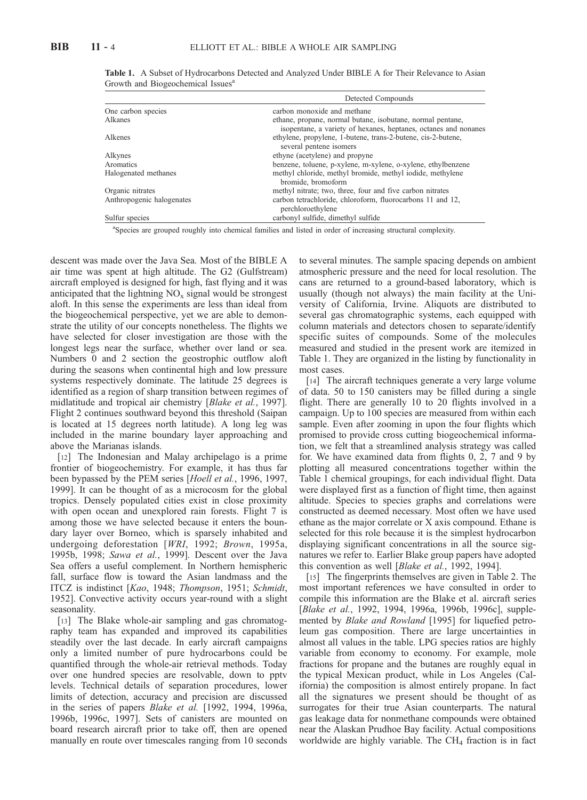|                           | Detected Compounds                                                                                                            |  |  |  |
|---------------------------|-------------------------------------------------------------------------------------------------------------------------------|--|--|--|
| One carbon species        | carbon monoxide and methane                                                                                                   |  |  |  |
| Alkanes                   | ethane, propane, normal butane, isobutane, normal pentane,<br>isopentane, a variety of hexanes, heptanes, octanes and nonanes |  |  |  |
| Alkenes                   | ethylene, propylene, 1-butene, trans-2-butene, cis-2-butene,<br>several pentene isomers                                       |  |  |  |
| Alkynes                   | ethyne (acetylene) and propyne                                                                                                |  |  |  |
| Aromatics                 | benzene, toluene, p-xylene, m-xylene, o-xylene, ethylbenzene                                                                  |  |  |  |
| Halogenated methanes      | methyl chloride, methyl bromide, methyl iodide, methylene<br>bromide, bromoform                                               |  |  |  |
| Organic nitrates          | methyl nitrate; two, three, four and five carbon nitrates                                                                     |  |  |  |
| Anthropogenic halogenates | carbon tetrachloride, chloroform, fluorocarbons 11 and 12,<br>perchloroethylene                                               |  |  |  |
| Sulfur species            | carbonyl sulfide, dimethyl sulfide                                                                                            |  |  |  |

Table 1. A Subset of Hydrocarbons Detected and Analyzed Under BIBLE A for Their Relevance to Asian Growth and Biogeochemical Issues<sup>a</sup>

<sup>a</sup>Species are grouped roughly into chemical families and listed in order of increasing structural complexity.

descent was made over the Java Sea. Most of the BIBLE A air time was spent at high altitude. The G2 (Gulfstream) aircraft employed is designed for high, fast flying and it was anticipated that the lightning  $NO<sub>x</sub>$  signal would be strongest aloft. In this sense the experiments are less than ideal from the biogeochemical perspective, yet we are able to demonstrate the utility of our concepts nonetheless. The flights we have selected for closer investigation are those with the longest legs near the surface, whether over land or sea. Numbers 0 and 2 section the geostrophic outflow aloft during the seasons when continental high and low pressure systems respectively dominate. The latitude 25 degrees is identified as a region of sharp transition between regimes of midlatitude and tropical air chemistry [Blake et al., 1997]. Flight 2 continues southward beyond this threshold (Saipan is located at 15 degrees north latitude). A long leg was included in the marine boundary layer approaching and above the Marianas islands.

[12] The Indonesian and Malay archipelago is a prime frontier of biogeochemistry. For example, it has thus far been bypassed by the PEM series [Hoell et al., 1996, 1997, 1999]. It can be thought of as a microcosm for the global tropics. Densely populated cities exist in close proximity with open ocean and unexplored rain forests. Flight 7 is among those we have selected because it enters the boundary layer over Borneo, which is sparsely inhabited and undergoing deforestation [WRI, 1992; Brown, 1995a, 1995b, 1998; Sawa et al., 1999]. Descent over the Java Sea offers a useful complement. In Northern hemispheric fall, surface flow is toward the Asian landmass and the ITCZ is indistinct [Kao, 1948; Thompson, 1951; Schmidt, 1952]. Convective activity occurs year-round with a slight seasonality.

[13] The Blake whole-air sampling and gas chromatography team has expanded and improved its capabilities steadily over the last decade. In early aircraft campaigns only a limited number of pure hydrocarbons could be quantified through the whole-air retrieval methods. Today over one hundred species are resolvable, down to pptv levels. Technical details of separation procedures, lower limits of detection, accuracy and precision are discussed in the series of papers Blake et al. [1992, 1994, 1996a, 1996b, 1996c, 1997]. Sets of canisters are mounted on board research aircraft prior to take off, then are opened manually en route over timescales ranging from 10 seconds

to several minutes. The sample spacing depends on ambient atmospheric pressure and the need for local resolution. The cans are returned to a ground-based laboratory, which is usually (though not always) the main facility at the University of California, Irvine. Aliquots are distributed to several gas chromatographic systems, each equipped with column materials and detectors chosen to separate/identify specific suites of compounds. Some of the molecules measured and studied in the present work are itemized in Table 1. They are organized in the listing by functionality in most cases.

[14] The aircraft techniques generate a very large volume of data. 50 to 150 canisters may be filled during a single flight. There are generally 10 to 20 flights involved in a campaign. Up to 100 species are measured from within each sample. Even after zooming in upon the four flights which promised to provide cross cutting biogeochemical information, we felt that a streamlined analysis strategy was called for. We have examined data from flights 0, 2, 7 and 9 by plotting all measured concentrations together within the Table 1 chemical groupings, for each individual flight. Data were displayed first as a function of flight time, then against altitude. Species to species graphs and correlations were constructed as deemed necessary. Most often we have used ethane as the major correlate or X axis compound. Ethane is selected for this role because it is the simplest hydrocarbon displaying significant concentrations in all the source signatures we refer to. Earlier Blake group papers have adopted this convention as well [Blake et al., 1992, 1994].

[15] The fingerprints themselves are given in Table 2. The most important references we have consulted in order to compile this information are the Blake et al. aircraft series [Blake et al., 1992, 1994, 1996a, 1996b, 1996c], supplemented by *Blake and Rowland* [1995] for liquefied petroleum gas composition. There are large uncertainties in almost all values in the table. LPG species ratios are highly variable from economy to economy. For example, mole fractions for propane and the butanes are roughly equal in the typical Mexican product, while in Los Angeles (California) the composition is almost entirely propane. In fact all the signatures we present should be thought of as surrogates for their true Asian counterparts. The natural gas leakage data for nonmethane compounds were obtained near the Alaskan Prudhoe Bay facility. Actual compositions worldwide are highly variable. The  $CH<sub>4</sub>$  fraction is in fact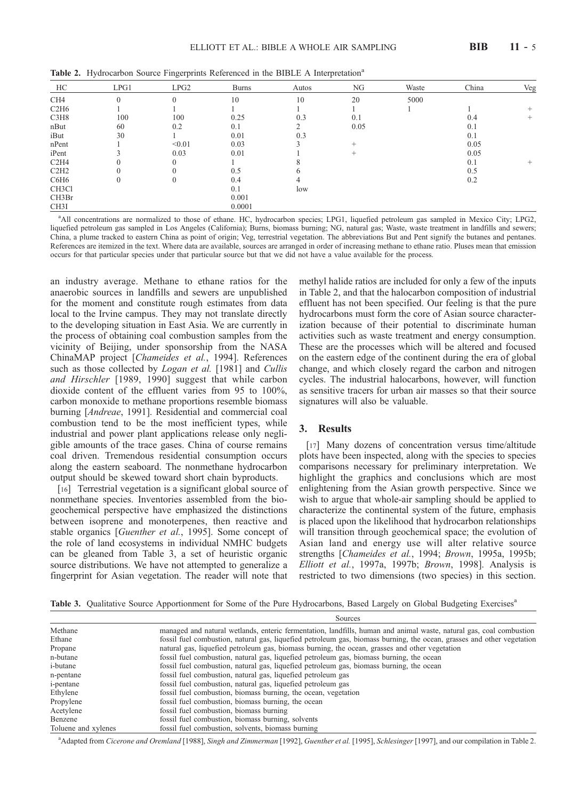|  |  |  | Table 2. Hydrocarbon Source Fingerprints Referenced in the BIBLE A Interpretation <sup>a</sup> |
|--|--|--|------------------------------------------------------------------------------------------------|
|  |  |  |                                                                                                |

| HC                 | LPG1 | LPG2   | <b>Burns</b> | Autos         | NG     | Waste | China | Veg    |
|--------------------|------|--------|--------------|---------------|--------|-------|-------|--------|
| CH <sub>4</sub>    |      |        | 10           | 10            | 20     | 5000  |       |        |
| C2H6               |      |        |              |               |        |       |       |        |
| C3H8               | 100  | 100    | 0.25         | 0.3           | 0.1    |       | 0.4   | $^{+}$ |
| nBut               | 60   | 0.2    | 0.1          | $\mathcal{L}$ | 0.05   |       | 0.1   |        |
| iBut               | 30   |        | 0.01         | 0.3           |        |       | 0.1   |        |
| nPent              |      | < 0.01 | 0.03         |               | $\pm$  |       | 0.05  |        |
| iPent              |      | 0.03   | 0.01         |               | $^{+}$ |       | 0.05  |        |
| C2H4               |      |        |              |               |        |       | 0.1   | $\pm$  |
| C2H2               |      |        | 0.5          | h             |        |       | 0.5   |        |
| C6H6               | 0    |        | 0.4          |               |        |       | 0.2   |        |
| CH <sub>3</sub> Cl |      |        | 0.1          | low           |        |       |       |        |
| CH3Br              |      |        | 0.001        |               |        |       |       |        |
| CH3I               |      |        | 0.0001       |               |        |       |       |        |

a All concentrations are normalized to those of ethane. HC, hydrocarbon species; LPG1, liquefied petroleum gas sampled in Mexico City; LPG2, liquefied petroleum gas sampled in Los Angeles (California); Burns, biomass burning; NG, natural gas; Waste, waste treatment in landfills and sewers; China, a plume tracked to eastern China as point of origin; Veg, terrestrial vegetation. The abbreviations But and Pent signify the butanes and pentanes. References are itemized in the text. Where data are available, sources are arranged in order of increasing methane to ethane ratio. Pluses mean that emission occurs for that particular species under that particular source but that we did not have a value available for the process.

an industry average. Methane to ethane ratios for the anaerobic sources in landfills and sewers are unpublished for the moment and constitute rough estimates from data local to the Irvine campus. They may not translate directly to the developing situation in East Asia. We are currently in the process of obtaining coal combustion samples from the vicinity of Beijing, under sponsorship from the NASA ChinaMAP project [Chameides et al., 1994]. References such as those collected by *Logan et al.* [1981] and *Cullis* and Hirschler [1989, 1990] suggest that while carbon dioxide content of the effluent varies from 95 to 100%, carbon monoxide to methane proportions resemble biomass burning [Andreae, 1991]. Residential and commercial coal combustion tend to be the most inefficient types, while industrial and power plant applications release only negligible amounts of the trace gases. China of course remains coal driven. Tremendous residential consumption occurs along the eastern seaboard. The nonmethane hydrocarbon output should be skewed toward short chain byproducts.

[16] Terrestrial vegetation is a significant global source of nonmethane species. Inventories assembled from the biogeochemical perspective have emphasized the distinctions between isoprene and monoterpenes, then reactive and stable organics [Guenther et al., 1995]. Some concept of the role of land ecosystems in individual NMHC budgets can be gleaned from Table 3, a set of heuristic organic source distributions. We have not attempted to generalize a fingerprint for Asian vegetation. The reader will note that

methyl halide ratios are included for only a few of the inputs in Table 2, and that the halocarbon composition of industrial effluent has not been specified. Our feeling is that the pure hydrocarbons must form the core of Asian source characterization because of their potential to discriminate human activities such as waste treatment and energy consumption. These are the processes which will be altered and focused on the eastern edge of the continent during the era of global change, and which closely regard the carbon and nitrogen cycles. The industrial halocarbons, however, will function as sensitive tracers for urban air masses so that their source signatures will also be valuable.

#### 3. Results

[17] Many dozens of concentration versus time/altitude plots have been inspected, along with the species to species comparisons necessary for preliminary interpretation. We highlight the graphics and conclusions which are most enlightening from the Asian growth perspective. Since we wish to argue that whole-air sampling should be applied to characterize the continental system of the future, emphasis is placed upon the likelihood that hydrocarbon relationships will transition through geochemical space; the evolution of Asian land and energy use will alter relative source strengths [Chameides et al., 1994; Brown, 1995a, 1995b; Elliott et al., 1997a, 1997b; Brown, 1998]. Analysis is restricted to two dimensions (two species) in this section.

Table 3. Qualitative Source Apportionment for Some of the Pure Hydrocarbons, Based Largely on Global Budgeting Exercises<sup>a</sup>

|                     | Sources                                                                                                                |
|---------------------|------------------------------------------------------------------------------------------------------------------------|
| Methane             | managed and natural wetlands, enteric fermentation, landfills, human and animal waste, natural gas, coal combustion    |
| Ethane              | fossil fuel combustion, natural gas, liquefied petroleum gas, biomass burning, the ocean, grasses and other vegetation |
| Propane             | natural gas, liquefied petroleum gas, biomass burning, the ocean, grasses and other vegetation                         |
| n-butane            | fossil fuel combustion, natural gas, liquefied petroleum gas, biomass burning, the ocean                               |
| <i>i</i> -butane    | fossil fuel combustion, natural gas, liquefied petroleum gas, biomass burning, the ocean                               |
| n-pentane           | fossil fuel combustion, natural gas, liquefied petroleum gas                                                           |
| <i>i</i> -pentane   | fossil fuel combustion, natural gas, liquefied petroleum gas                                                           |
| Ethylene            | fossil fuel combustion, biomass burning, the ocean, vegetation                                                         |
| Propylene           | fossil fuel combustion, biomass burning, the ocean                                                                     |
| Acetylene           | fossil fuel combustion, biomass burning                                                                                |
| Benzene             | fossil fuel combustion, biomass burning, solvents                                                                      |
| Toluene and xylenes | fossil fuel combustion, solvents, biomass burning                                                                      |

<sup>a</sup> Adapted from Cicerone and Oremland [1988], Singh and Zimmerman [1992], Guenther et al. [1995], Schlesinger [1997], and our compilation in Table 2.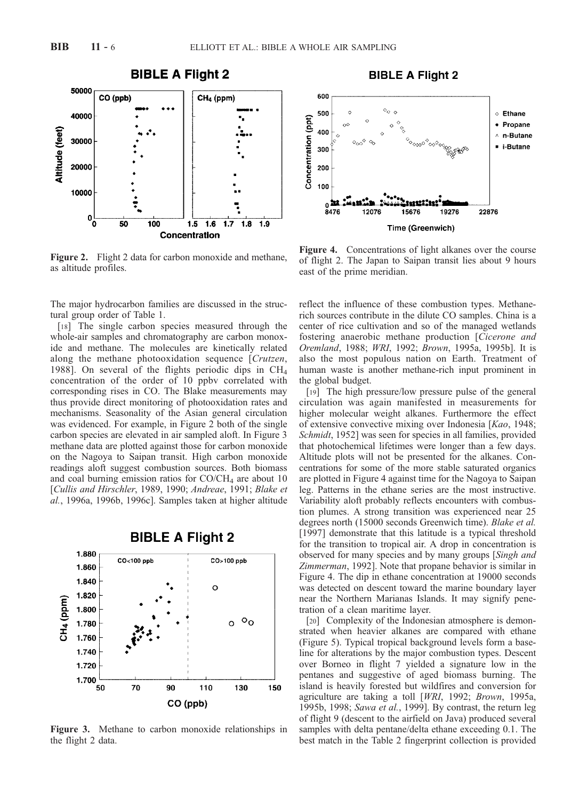

Figure 2. Flight 2 data for carbon monoxide and methane, as altitude profiles.

The major hydrocarbon families are discussed in the structural group order of Table 1.

[18] The single carbon species measured through the whole-air samples and chromatography are carbon monoxide and methane. The molecules are kinetically related along the methane photooxidation sequence [Crutzen, 1988]. On several of the flights periodic dips in CH4 concentration of the order of 10 ppbv correlated with corresponding rises in CO. The Blake measurements may thus provide direct monitoring of photooxidation rates and mechanisms. Seasonality of the Asian general circulation was evidenced. For example, in Figure 2 both of the single carbon species are elevated in air sampled aloft. In Figure 3 methane data are plotted against those for carbon monoxide on the Nagoya to Saipan transit. High carbon monoxide readings aloft suggest combustion sources. Both biomass and coal burning emission ratios for  $CO/CH<sub>4</sub>$  are about 10 [Cullis and Hirschler, 1989, 1990; Andreae, 1991; Blake et al., 1996a, 1996b, 1996c]. Samples taken at higher altitude



Figure 3. Methane to carbon monoxide relationships in the flight 2 data.



Figure 4. Concentrations of light alkanes over the course of flight 2. The Japan to Saipan transit lies about 9 hours east of the prime meridian.

reflect the influence of these combustion types. Methanerich sources contribute in the dilute CO samples. China is a center of rice cultivation and so of the managed wetlands fostering anaerobic methane production [Cicerone and Oremland, 1988; WRI, 1992; Brown, 1995a, 1995b]. It is also the most populous nation on Earth. Treatment of human waste is another methane-rich input prominent in the global budget.

[19] The high pressure/low pressure pulse of the general circulation was again manifested in measurements for higher molecular weight alkanes. Furthermore the effect of extensive convective mixing over Indonesia [Kao, 1948; Schmidt, 1952] was seen for species in all families, provided that photochemical lifetimes were longer than a few days. Altitude plots will not be presented for the alkanes. Concentrations for some of the more stable saturated organics are plotted in Figure 4 against time for the Nagoya to Saipan leg. Patterns in the ethane series are the most instructive. Variability aloft probably reflects encounters with combustion plumes. A strong transition was experienced near 25 degrees north (15000 seconds Greenwich time). Blake et al. [1997] demonstrate that this latitude is a typical threshold for the transition to tropical air. A drop in concentration is observed for many species and by many groups [Singh and Zimmerman, 1992]. Note that propane behavior is similar in Figure 4. The dip in ethane concentration at 19000 seconds was detected on descent toward the marine boundary layer near the Northern Marianas Islands. It may signify penetration of a clean maritime layer.

[20] Complexity of the Indonesian atmosphere is demonstrated when heavier alkanes are compared with ethane (Figure 5). Typical tropical background levels form a baseline for alterations by the major combustion types. Descent over Borneo in flight 7 yielded a signature low in the pentanes and suggestive of aged biomass burning. The island is heavily forested but wildfires and conversion for agriculture are taking a toll [WRI, 1992; Brown, 1995a, 1995b, 1998; Sawa et al., 1999]. By contrast, the return leg of flight 9 (descent to the airfield on Java) produced several samples with delta pentane/delta ethane exceeding 0.1. The best match in the Table 2 fingerprint collection is provided

**BIBLE A Flight 2**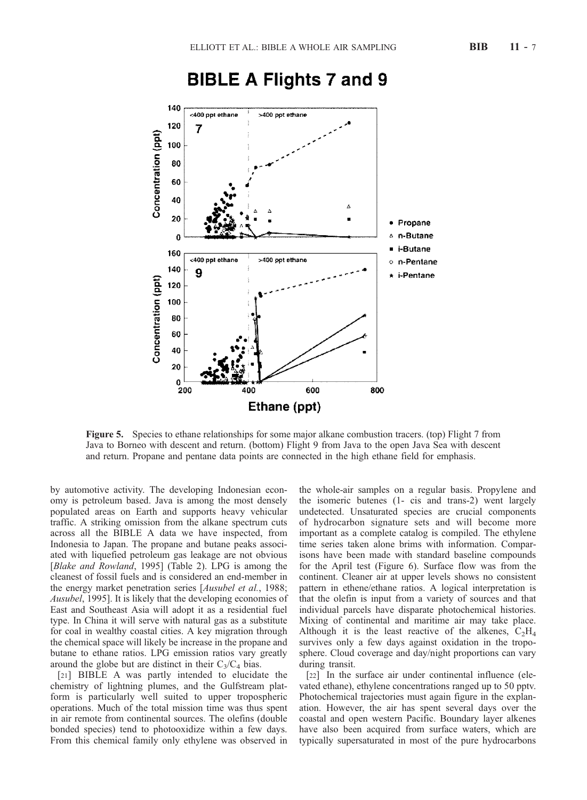

# **BIBLE A Flights 7 and 9**

Figure 5. Species to ethane relationships for some major alkane combustion tracers. (top) Flight 7 from Java to Borneo with descent and return. (bottom) Flight 9 from Java to the open Java Sea with descent and return. Propane and pentane data points are connected in the high ethane field for emphasis.

by automotive activity. The developing Indonesian economy is petroleum based. Java is among the most densely populated areas on Earth and supports heavy vehicular traffic. A striking omission from the alkane spectrum cuts across all the BIBLE A data we have inspected, from Indonesia to Japan. The propane and butane peaks associated with liquefied petroleum gas leakage are not obvious [Blake and Rowland, 1995] (Table 2). LPG is among the cleanest of fossil fuels and is considered an end-member in the energy market penetration series [Ausubel et al., 1988; Ausubel, 1995]. It is likely that the developing economies of East and Southeast Asia will adopt it as a residential fuel type. In China it will serve with natural gas as a substitute for coal in wealthy coastal cities. A key migration through the chemical space will likely be increase in the propane and butane to ethane ratios. LPG emission ratios vary greatly around the globe but are distinct in their  $C_3/C_4$  bias.

[21] BIBLE A was partly intended to elucidate the chemistry of lightning plumes, and the Gulfstream platform is particularly well suited to upper tropospheric operations. Much of the total mission time was thus spent in air remote from continental sources. The olefins (double bonded species) tend to photooxidize within a few days. From this chemical family only ethylene was observed in

the whole-air samples on a regular basis. Propylene and the isomeric butenes (1- cis and trans-2) went largely undetected. Unsaturated species are crucial components of hydrocarbon signature sets and will become more important as a complete catalog is compiled. The ethylene time series taken alone brims with information. Comparisons have been made with standard baseline compounds for the April test (Figure 6). Surface flow was from the continent. Cleaner air at upper levels shows no consistent pattern in ethene/ethane ratios. A logical interpretation is that the olefin is input from a variety of sources and that individual parcels have disparate photochemical histories. Mixing of continental and maritime air may take place. Although it is the least reactive of the alkenes,  $C_2H_4$ survives only a few days against oxidation in the troposphere. Cloud coverage and day/night proportions can vary during transit.

[22] In the surface air under continental influence (elevated ethane), ethylene concentrations ranged up to 50 pptv. Photochemical trajectories must again figure in the explanation. However, the air has spent several days over the coastal and open western Pacific. Boundary layer alkenes have also been acquired from surface waters, which are typically supersaturated in most of the pure hydrocarbons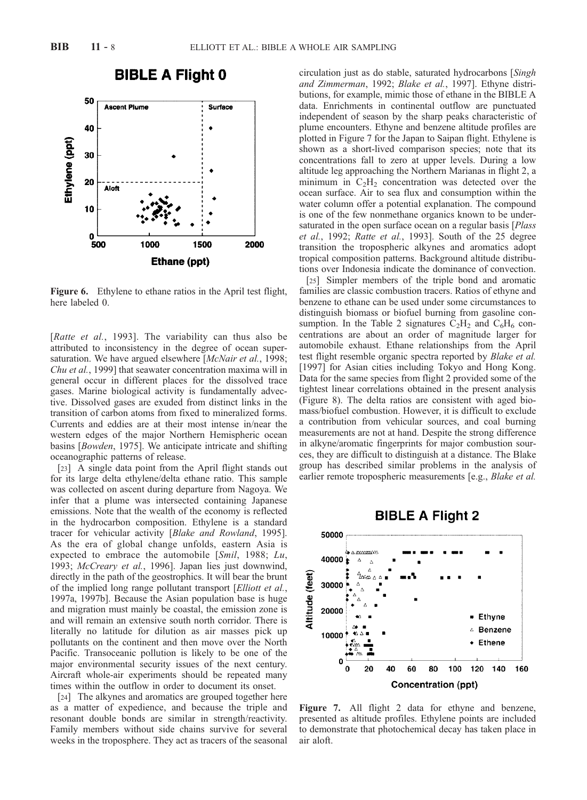



Figure 6. Ethylene to ethane ratios in the April test flight, here labeled 0.

[Ratte et al., 1993]. The variability can thus also be attributed to inconsistency in the degree of ocean supersaturation. We have argued elsewhere [McNair et al., 1998; Chu et al., 1999] that seawater concentration maxima will in general occur in different places for the dissolved trace gases. Marine biological activity is fundamentally advective. Dissolved gases are exuded from distinct links in the transition of carbon atoms from fixed to mineralized forms. Currents and eddies are at their most intense in/near the western edges of the major Northern Hemispheric ocean basins [Bowden, 1975]. We anticipate intricate and shifting oceanographic patterns of release.

[23] A single data point from the April flight stands out for its large delta ethylene/delta ethane ratio. This sample was collected on ascent during departure from Nagoya. We infer that a plume was intersected containing Japanese emissions. Note that the wealth of the economy is reflected in the hydrocarbon composition. Ethylene is a standard tracer for vehicular activity [Blake and Rowland, 1995]. As the era of global change unfolds, eastern Asia is expected to embrace the automobile [Smil, 1988; Lu, 1993; McCreary et al., 1996]. Japan lies just downwind, directly in the path of the geostrophics. It will bear the brunt of the implied long range pollutant transport [Elliott et al., 1997a, 1997b]. Because the Asian population base is huge and migration must mainly be coastal, the emission zone is and will remain an extensive south north corridor. There is literally no latitude for dilution as air masses pick up pollutants on the continent and then move over the North Pacific. Transoceanic pollution is likely to be one of the major environmental security issues of the next century. Aircraft whole-air experiments should be repeated many times within the outflow in order to document its onset.

[24] The alkynes and aromatics are grouped together here as a matter of expedience, and because the triple and resonant double bonds are similar in strength/reactivity. Family members without side chains survive for several weeks in the troposphere. They act as tracers of the seasonal circulation just as do stable, saturated hydrocarbons [Singh and Zimmerman, 1992; Blake et al., 1997]. Ethyne distributions, for example, mimic those of ethane in the BIBLE A data. Enrichments in continental outflow are punctuated independent of season by the sharp peaks characteristic of plume encounters. Ethyne and benzene altitude profiles are plotted in Figure 7 for the Japan to Saipan flight. Ethylene is shown as a short-lived comparison species; note that its concentrations fall to zero at upper levels. During a low altitude leg approaching the Northern Marianas in flight 2, a minimum in  $C_2H_2$  concentration was detected over the ocean surface. Air to sea flux and consumption within the water column offer a potential explanation. The compound is one of the few nonmethane organics known to be undersaturated in the open surface ocean on a regular basis [*Plass*] et al., 1992; Ratte et al., 1993]. South of the 25 degree transition the tropospheric alkynes and aromatics adopt tropical composition patterns. Background altitude distributions over Indonesia indicate the dominance of convection.

[25] Simpler members of the triple bond and aromatic families are classic combustion tracers. Ratios of ethyne and benzene to ethane can be used under some circumstances to distinguish biomass or biofuel burning from gasoline consumption. In the Table 2 signatures  $C_2H_2$  and  $C_6H_6$  concentrations are about an order of magnitude larger for automobile exhaust. Ethane relationships from the April test flight resemble organic spectra reported by Blake et al. [1997] for Asian cities including Tokyo and Hong Kong. Data for the same species from flight 2 provided some of the tightest linear correlations obtained in the present analysis (Figure 8). The delta ratios are consistent with aged biomass/biofuel combustion. However, it is difficult to exclude a contribution from vehicular sources, and coal burning measurements are not at hand. Despite the strong difference in alkyne/aromatic fingerprints for major combustion sources, they are difficult to distinguish at a distance. The Blake group has described similar problems in the analysis of earlier remote tropospheric measurements [e.g., *Blake et al.*)



Figure 7. All flight 2 data for ethyne and benzene, presented as altitude profiles. Ethylene points are included to demonstrate that photochemical decay has taken place in air aloft.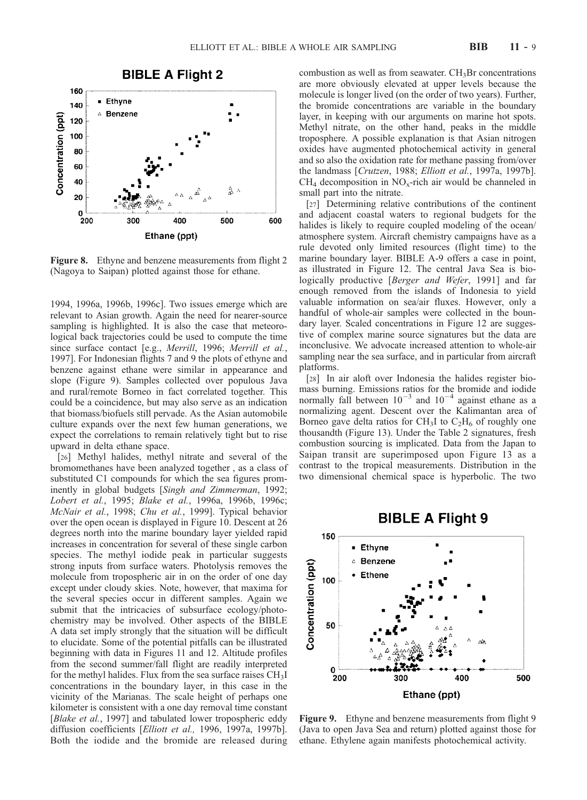

**Figure 8.** Ethyne and benzene measurements from flight 2 (Nagoya to Saipan) plotted against those for ethane.

1994, 1996a, 1996b, 1996c]. Two issues emerge which are relevant to Asian growth. Again the need for nearer-source sampling is highlighted. It is also the case that meteorological back trajectories could be used to compute the time since surface contact [e.g., Merrill, 1996; Merrill et al., 1997]. For Indonesian flights 7 and 9 the plots of ethyne and benzene against ethane were similar in appearance and slope (Figure 9). Samples collected over populous Java and rural/remote Borneo in fact correlated together. This could be a coincidence, but may also serve as an indication that biomass/biofuels still pervade. As the Asian automobile culture expands over the next few human generations, we expect the correlations to remain relatively tight but to rise upward in delta ethane space.

[26] Methyl halides, methyl nitrate and several of the bromomethanes have been analyzed together , as a class of substituted C1 compounds for which the sea figures prominently in global budgets [Singh and Zimmerman, 1992; Lobert et al., 1995; Blake et al., 1996a, 1996b, 1996c; McNair et al., 1998; Chu et al., 1999]. Typical behavior over the open ocean is displayed in Figure 10. Descent at 26 degrees north into the marine boundary layer yielded rapid increases in concentration for several of these single carbon species. The methyl iodide peak in particular suggests strong inputs from surface waters. Photolysis removes the molecule from tropospheric air in on the order of one day except under cloudy skies. Note, however, that maxima for the several species occur in different samples. Again we submit that the intricacies of subsurface ecology/photochemistry may be involved. Other aspects of the BIBLE A data set imply strongly that the situation will be difficult to elucidate. Some of the potential pitfalls can be illustrated beginning with data in Figures 11 and 12. Altitude profiles from the second summer/fall flight are readily interpreted for the methyl halides. Flux from the sea surface raises  $CH<sub>3</sub>I$ concentrations in the boundary layer, in this case in the vicinity of the Marianas. The scale height of perhaps one kilometer is consistent with a one day removal time constant [Blake et al., 1997] and tabulated lower tropospheric eddy diffusion coefficients [Elliott et al., 1996, 1997a, 1997b]. Both the iodide and the bromide are released during

combustion as well as from seawater.  $CH<sub>3</sub>Br$  concentrations are more obviously elevated at upper levels because the molecule is longer lived (on the order of two years). Further, the bromide concentrations are variable in the boundary layer, in keeping with our arguments on marine hot spots. Methyl nitrate, on the other hand, peaks in the middle troposphere. A possible explanation is that Asian nitrogen oxides have augmented photochemical activity in general and so also the oxidation rate for methane passing from/over the landmass [Crutzen, 1988; Elliott et al., 1997a, 1997b].  $CH<sub>4</sub>$  decomposition in NO<sub>x</sub>-rich air would be channeled in small part into the nitrate.

[27] Determining relative contributions of the continent and adjacent coastal waters to regional budgets for the halides is likely to require coupled modeling of the ocean/ atmosphere system. Aircraft chemistry campaigns have as a rule devoted only limited resources (flight time) to the marine boundary layer. BIBLE A-9 offers a case in point, as illustrated in Figure 12. The central Java Sea is biologically productive [Berger and Wefer, 1991] and far enough removed from the islands of Indonesia to yield valuable information on sea/air fluxes. However, only a handful of whole-air samples were collected in the boundary layer. Scaled concentrations in Figure 12 are suggestive of complex marine source signatures but the data are inconclusive. We advocate increased attention to whole-air sampling near the sea surface, and in particular from aircraft platforms.

[28] In air aloft over Indonesia the halides register biomass burning. Emissions ratios for the bromide and iodide normally fall between  $10^{-3}$  and  $10^{-4}$  against ethane as a normalizing agent. Descent over the Kalimantan area of Borneo gave delta ratios for CH<sub>3</sub>I to  $C_2H_6$  of roughly one thousandth (Figure 13). Under the Table 2 signatures, fresh combustion sourcing is implicated. Data from the Japan to Saipan transit are superimposed upon Figure 13 as a contrast to the tropical measurements. Distribution in the two dimensional chemical space is hyperbolic. The two



Figure 9. Ethyne and benzene measurements from flight 9 (Java to open Java Sea and return) plotted against those for ethane. Ethylene again manifests photochemical activity.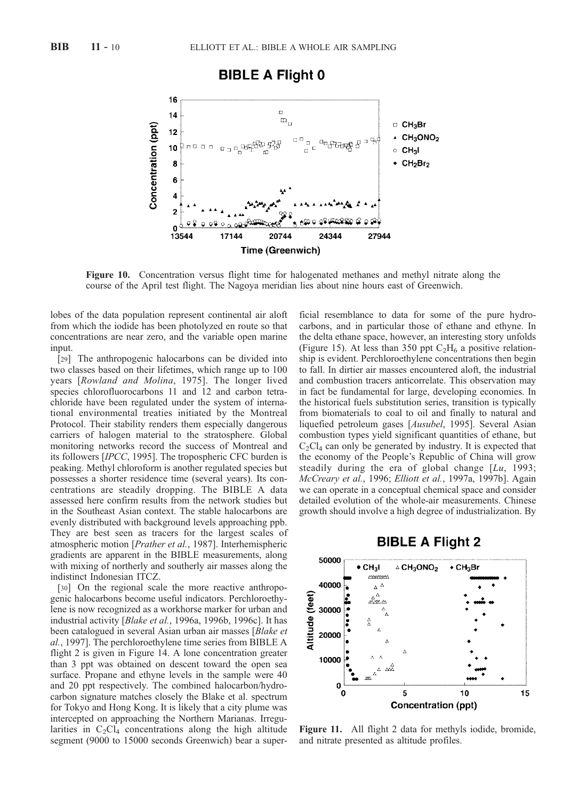# **BIBLE A Flight 0**



Figure 10. Concentration versus flight time for halogenated methanes and methyl nitrate along the course of the April test flight. The Nagoya meridian lies about nine hours east of Greenwich.

lobes of the data population represent continental air aloft from which the iodide has been photolyzed en route so that concentrations are near zero, and the variable open marine input.

[29] The anthropogenic halocarbons can be divided into two classes based on their lifetimes, which range up to 100 years [Rowland and Molina, 1975]. The longer lived species chlorofluorocarbons 11 and 12 and carbon tetrachloride have been regulated under the system of international environmental treaties initiated by the Montreal Protocol. Their stability renders them especially dangerous carriers of halogen material to the stratosphere. Global monitoring networks record the success of Montreal and its followers [IPCC, 1995]. The tropospheric CFC burden is peaking. Methyl chloroform is another regulated species but possesses a shorter residence time (several years). Its concentrations are steadily dropping. The BIBLE A data assessed here confirm results from the network studies but in the Southeast Asian context. The stable halocarbons are evenly distributed with background levels approaching ppb. They are best seen as tracers for the largest scales of atmospheric motion [Prather et al., 1987]. Interhemispheric gradients are apparent in the BIBLE measurements, along with mixing of northerly and southerly air masses along the indistinct Indonesian ITCZ.

[30] On the regional scale the more reactive anthropogenic halocarbons become useful indicators. Perchloroethylene is now recognized as a workhorse marker for urban and industrial activity [Blake et al., 1996a, 1996b, 1996c]. It has been catalogued in several Asian urban air masses [Blake et al., 1997]. The perchloroethylene time series from BIBLE A flight 2 is given in Figure 14. A lone concentration greater than 3 ppt was obtained on descent toward the open sea surface. Propane and ethyne levels in the sample were 40 and 20 ppt respectively. The combined halocarbon/hydrocarbon signature matches closely the Blake et al. spectrum for Tokyo and Hong Kong. It is likely that a city plume was intercepted on approaching the Northern Marianas. Irregularities in  $C_2Cl_4$  concentrations along the high altitude segment (9000 to 15000 seconds Greenwich) bear a superficial resemblance to data for some of the pure hydrocarbons, and in particular those of ethane and ethyne. In the delta ethane space, however, an interesting story unfolds (Figure 15). At less than 350 ppt  $C_2H_6$  a positive relationship is evident. Perchloroethylene concentrations then begin to fall. In dirtier air masses encountered aloft, the industrial and combustion tracers anticorrelate. This observation may in fact be fundamental for large, developing economies. In the historical fuels substitution series, transition is typically from biomaterials to coal to oil and finally to natural and liquefied petroleum gases [Ausubel, 1995]. Several Asian combustion types yield significant quantities of ethane, but  $C_2Cl_4$  can only be generated by industry. It is expected that the economy of the People's Republic of China will grow steadily during the era of global change  $[Lu, 1993;$ McCreary et al., 1996; Elliott et al., 1997a, 1997b]. Again we can operate in a conceptual chemical space and consider detailed evolution of the whole-air measurements. Chinese growth should involve a high degree of industrialization. By





Figure 11. All flight 2 data for methyls iodide, bromide, and nitrate presented as altitude profiles.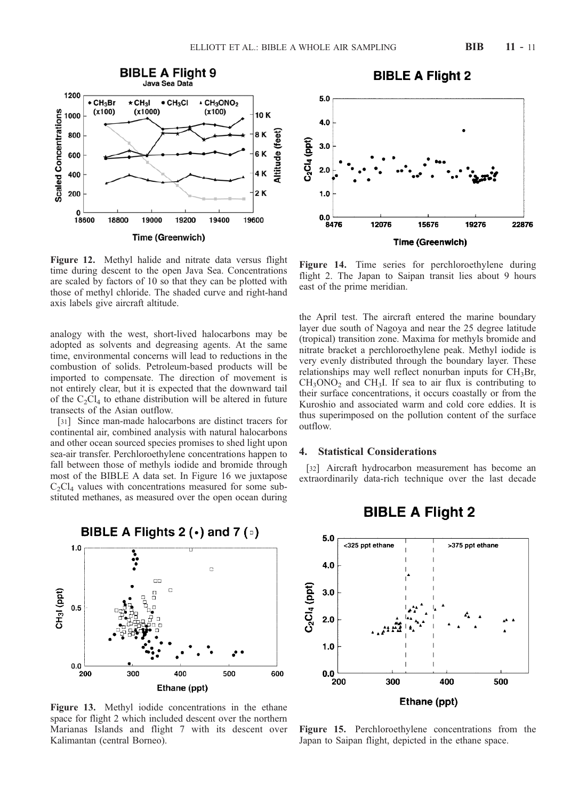



Figure 12. Methyl halide and nitrate data versus flight time during descent to the open Java Sea. Concentrations are scaled by factors of 10 so that they can be plotted with those of methyl chloride. The shaded curve and right-hand axis labels give aircraft altitude.

analogy with the west, short-lived halocarbons may be adopted as solvents and degreasing agents. At the same time, environmental concerns will lead to reductions in the combustion of solids. Petroleum-based products will be imported to compensate. The direction of movement is not entirely clear, but it is expected that the downward tail of the  $C_2Cl_4$  to ethane distribution will be altered in future transects of the Asian outflow.

[31] Since man-made halocarbons are distinct tracers for continental air, combined analysis with natural halocarbons and other ocean sourced species promises to shed light upon sea-air transfer. Perchloroethylene concentrations happen to fall between those of methyls iodide and bromide through most of the BIBLE A data set. In Figure 16 we juxtapose  $C_2Cl_4$  values with concentrations measured for some substituted methanes, as measured over the open ocean during



Figure 13. Methyl iodide concentrations in the ethane space for flight 2 which included descent over the northern Marianas Islands and flight 7 with its descent over Kalimantan (central Borneo).

Figure 14. Time series for perchloroethylene during flight 2. The Japan to Saipan transit lies about 9 hours east of the prime meridian.

the April test. The aircraft entered the marine boundary layer due south of Nagoya and near the 25 degree latitude (tropical) transition zone. Maxima for methyls bromide and nitrate bracket a perchloroethylene peak. Methyl iodide is very evenly distributed through the boundary layer. These relationships may well reflect nonurban inputs for  $CH_3Br$ ,  $CH<sub>3</sub>ONO<sub>2</sub>$  and  $CH<sub>3</sub>I$ . If sea to air flux is contributing to their surface concentrations, it occurs coastally or from the Kuroshio and associated warm and cold core eddies. It is thus superimposed on the pollution content of the surface outflow.

# 4. Statistical Considerations

[32] Aircraft hydrocarbon measurement has become an extraordinarily data-rich technique over the last decade



# **BIBLE A Flight 2**

Figure 15. Perchloroethylene concentrations from the Japan to Saipan flight, depicted in the ethane space.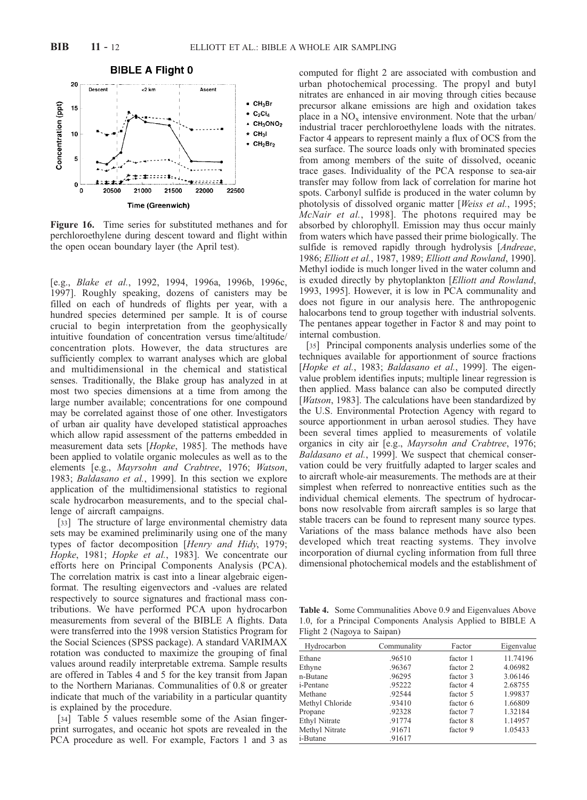

Figure 16. Time series for substituted methanes and for perchloroethylene during descent toward and flight within the open ocean boundary layer (the April test).

[e.g., Blake et al., 1992, 1994, 1996a, 1996b, 1996c, 1997]. Roughly speaking, dozens of canisters may be filled on each of hundreds of flights per year, with a hundred species determined per sample. It is of course crucial to begin interpretation from the geophysically intuitive foundation of concentration versus time/altitude/ concentration plots. However, the data structures are sufficiently complex to warrant analyses which are global and multidimensional in the chemical and statistical senses. Traditionally, the Blake group has analyzed in at most two species dimensions at a time from among the large number available; concentrations for one compound may be correlated against those of one other. Investigators of urban air quality have developed statistical approaches which allow rapid assessment of the patterns embedded in measurement data sets [Hopke, 1985]. The methods have been applied to volatile organic molecules as well as to the elements [e.g., Mayrsohn and Crabtree, 1976; Watson, 1983; Baldasano et al., 1999]. In this section we explore application of the multidimensional statistics to regional scale hydrocarbon measurements, and to the special challenge of aircraft campaigns.

[33] The structure of large environmental chemistry data sets may be examined preliminarily using one of the many types of factor decomposition [Henry and Hidy, 1979; Hopke, 1981; Hopke et al., 1983]. We concentrate our efforts here on Principal Components Analysis (PCA). The correlation matrix is cast into a linear algebraic eigenformat. The resulting eigenvectors and -values are related respectively to source signatures and fractional mass contributions. We have performed PCA upon hydrocarbon measurements from several of the BIBLE A flights. Data were transferred into the 1998 version Statistics Program for the Social Sciences (SPSS package). A standard VARIMAX rotation was conducted to maximize the grouping of final values around readily interpretable extrema. Sample results are offered in Tables 4 and 5 for the key transit from Japan to the Northern Marianas. Communalities of 0.8 or greater indicate that much of the variability in a particular quantity is explained by the procedure.

[34] Table 5 values resemble some of the Asian fingerprint surrogates, and oceanic hot spots are revealed in the PCA procedure as well. For example, Factors 1 and 3 as computed for flight 2 are associated with combustion and urban photochemical processing. The propyl and butyl nitrates are enhanced in air moving through cities because precursor alkane emissions are high and oxidation takes place in a  $NO_x$  intensive environment. Note that the urban/ industrial tracer perchloroethylene loads with the nitrates. Factor 4 appears to represent mainly a flux of OCS from the sea surface. The source loads only with brominated species from among members of the suite of dissolved, oceanic trace gases. Individuality of the PCA response to sea-air transfer may follow from lack of correlation for marine hot spots. Carbonyl sulfide is produced in the water column by photolysis of dissolved organic matter [Weiss et al., 1995; McNair et al., 1998]. The photons required may be absorbed by chlorophyll. Emission may thus occur mainly from waters which have passed their prime biologically. The sulfide is removed rapidly through hydrolysis [*Andreae*, 1986; Elliott et al., 1987, 1989; Elliott and Rowland, 1990]. Methyl iodide is much longer lived in the water column and is exuded directly by phytoplankton [Elliott and Rowland, 1993, 1995]. However, it is low in PCA communality and does not figure in our analysis here. The anthropogenic halocarbons tend to group together with industrial solvents. The pentanes appear together in Factor 8 and may point to internal combustion.

[35] Principal components analysis underlies some of the techniques available for apportionment of source fractions [Hopke et al., 1983; Baldasano et al., 1999]. The eigenvalue problem identifies inputs; multiple linear regression is then applied. Mass balance can also be computed directly [*Watson*, 1983]. The calculations have been standardized by the U.S. Environmental Protection Agency with regard to source apportionment in urban aerosol studies. They have been several times applied to measurements of volatile organics in city air [e.g., Mayrsohn and Crabtree, 1976; Baldasano et al., 1999]. We suspect that chemical conservation could be very fruitfully adapted to larger scales and to aircraft whole-air measurements. The methods are at their simplest when referred to nonreactive entities such as the individual chemical elements. The spectrum of hydrocarbons now resolvable from aircraft samples is so large that stable tracers can be found to represent many source types. Variations of the mass balance methods have also been developed which treat reacting systems. They involve incorporation of diurnal cycling information from full three dimensional photochemical models and the establishment of

Table 4. Some Communalities Above 0.9 and Eigenvalues Above 1.0, for a Principal Components Analysis Applied to BIBLE A Flight 2 (Nagoya to Saipan)

| Hydrocarbon     | Communality | Factor   | Eigenvalue |  |
|-----------------|-------------|----------|------------|--|
| Ethane          | .96510      | factor 1 | 11.74196   |  |
| Ethyne          | .96367      | factor 2 | 4.06982    |  |
| n-Butane        | .96295      | factor 3 | 3.06146    |  |
| i-Pentane       | .95222      | factor 4 | 2.68755    |  |
| Methane         | .92544      | factor 5 | 1.99837    |  |
| Methyl Chloride | .93410      | factor 6 | 1.66809    |  |
| Propane         | .92328      | factor 7 | 1.32184    |  |
| Ethyl Nitrate   | .91774      | factor 8 | 1.14957    |  |
| Methyl Nitrate  | .91671      | factor 9 | 1.05433    |  |
| i-Butane        | .91617      |          |            |  |
|                 |             |          |            |  |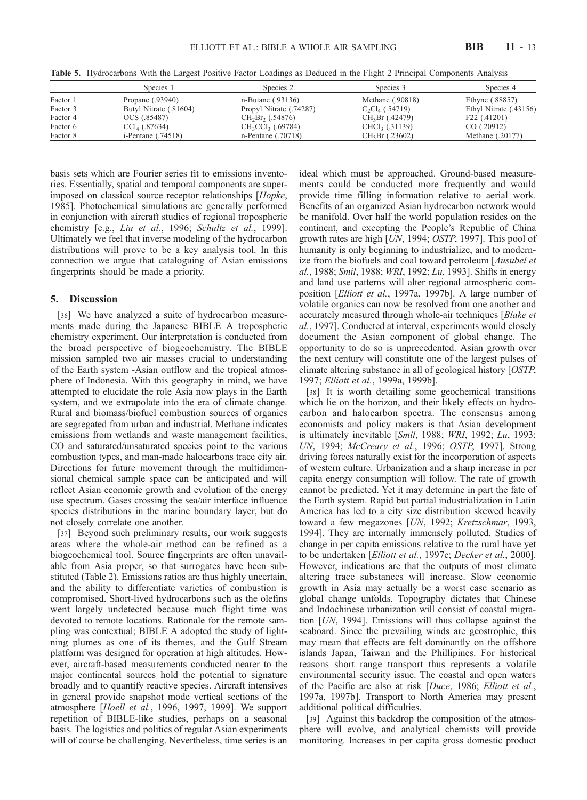Table 5. Hydrocarbons With the Largest Positive Factor Loadings as Deduced in the Flight 2 Principal Components Analysis

|          | Species 1                  | Species 2               | Species 3          | Species 4              |  |
|----------|----------------------------|-------------------------|--------------------|------------------------|--|
| Factor 1 | Propane (.93940)           | n-Butane (.93136)       | Methane (.90818)   | Ethyne (.88857)        |  |
| Factor 3 | Butyl Nitrate (.81604)     | Propyl Nitrate (.74287) | $C_2Cl_4$ (.54719) | Ethyl Nitrate (.43156) |  |
| Factor 4 | OCS (.85487)               | $CH_2Br_2(.54876)$      | $CH_3Br(.42479)$   | F22 (.41201)           |  |
| Factor 6 | $CCl4$ (.87634)            | $CH_3CCl_3$ (.69784)    | $CHCl3$ (.31139)   | CO(.20912)             |  |
| Factor 8 | <i>i</i> -Pentane (.74518) | n-Pentane $(.70718)$    | $CH_3Br(.23602)$   | Methane (.20177)       |  |

basis sets which are Fourier series fit to emissions inventories. Essentially, spatial and temporal components are superimposed on classical source receptor relationships [Hopke, 1985]. Photochemical simulations are generally performed in conjunction with aircraft studies of regional tropospheric chemistry [e.g., Liu et al., 1996; Schultz et al., 1999]. Ultimately we feel that inverse modeling of the hydrocarbon distributions will prove to be a key analysis tool. In this connection we argue that cataloguing of Asian emissions fingerprints should be made a priority.

### 5. Discussion

[36] We have analyzed a suite of hydrocarbon measurements made during the Japanese BIBLE A tropospheric chemistry experiment. Our interpretation is conducted from the broad perspective of biogeochemistry. The BIBLE mission sampled two air masses crucial to understanding of the Earth system -Asian outflow and the tropical atmosphere of Indonesia. With this geography in mind, we have attempted to elucidate the role Asia now plays in the Earth system, and we extrapolate into the era of climate change. Rural and biomass/biofuel combustion sources of organics are segregated from urban and industrial. Methane indicates emissions from wetlands and waste management facilities, CO and saturated/unsaturated species point to the various combustion types, and man-made halocarbons trace city air. Directions for future movement through the multidimensional chemical sample space can be anticipated and will reflect Asian economic growth and evolution of the energy use spectrum. Gases crossing the sea/air interface influence species distributions in the marine boundary layer, but do not closely correlate one another.

[37] Beyond such preliminary results, our work suggests areas where the whole-air method can be refined as a biogeochemical tool. Source fingerprints are often unavailable from Asia proper, so that surrogates have been substituted (Table 2). Emissions ratios are thus highly uncertain, and the ability to differentiate varieties of combustion is compromised. Short-lived hydrocarbons such as the olefins went largely undetected because much flight time was devoted to remote locations. Rationale for the remote sampling was contextual; BIBLE A adopted the study of lightning plumes as one of its themes, and the Gulf Stream platform was designed for operation at high altitudes. However, aircraft-based measurements conducted nearer to the major continental sources hold the potential to signature broadly and to quantify reactive species. Aircraft intensives in general provide snapshot mode vertical sections of the atmosphere [Hoell et al., 1996, 1997, 1999]. We support repetition of BIBLE-like studies, perhaps on a seasonal basis. The logistics and politics of regular Asian experiments will of course be challenging. Nevertheless, time series is an

ideal which must be approached. Ground-based measurements could be conducted more frequently and would provide time filling information relative to aerial work. Benefits of an organized Asian hydrocarbon network would be manifold. Over half the world population resides on the continent, and excepting the People's Republic of China growth rates are high [UN, 1994; OSTP, 1997]. This pool of humanity is only beginning to industrialize, and to modernize from the biofuels and coal toward petroleum [Ausubel et al., 1988; Smil, 1988; WRI, 1992; Lu, 1993]. Shifts in energy and land use patterns will alter regional atmospheric composition [Elliott et al., 1997a, 1997b]. A large number of volatile organics can now be resolved from one another and accurately measured through whole-air techniques [Blake et al., 1997]. Conducted at interval, experiments would closely document the Asian component of global change. The opportunity to do so is unprecedented. Asian growth over the next century will constitute one of the largest pulses of climate altering substance in all of geological history [OSTP, 1997; Elliott et al., 1999a, 1999b].

[38] It is worth detailing some geochemical transitions which lie on the horizon, and their likely effects on hydrocarbon and halocarbon spectra. The consensus among economists and policy makers is that Asian development is ultimately inevitable [Smil, 1988; WRI, 1992; Lu, 1993; UN, 1994; McCreary et al., 1996; OSTP, 1997]. Strong driving forces naturally exist for the incorporation of aspects of western culture. Urbanization and a sharp increase in per capita energy consumption will follow. The rate of growth cannot be predicted. Yet it may determine in part the fate of the Earth system. Rapid but partial industrialization in Latin America has led to a city size distribution skewed heavily toward a few megazones [UN, 1992; Kretzschmar, 1993, 1994]. They are internally immensely polluted. Studies of change in per capita emissions relative to the rural have yet to be undertaken [Elliott et al., 1997c; Decker et al., 2000]. However, indications are that the outputs of most climate altering trace substances will increase. Slow economic growth in Asia may actually be a worst case scenario as global change unfolds. Topography dictates that Chinese and Indochinese urbanization will consist of coastal migration [UN, 1994]. Emissions will thus collapse against the seaboard. Since the prevailing winds are geostrophic, this may mean that effects are felt dominantly on the offshore islands Japan, Taiwan and the Phillipines. For historical reasons short range transport thus represents a volatile environmental security issue. The coastal and open waters of the Pacific are also at risk [Duce, 1986; Elliott et al., 1997a, 1997b]. Transport to North America may present additional political difficulties.

[39] Against this backdrop the composition of the atmosphere will evolve, and analytical chemists will provide monitoring. Increases in per capita gross domestic product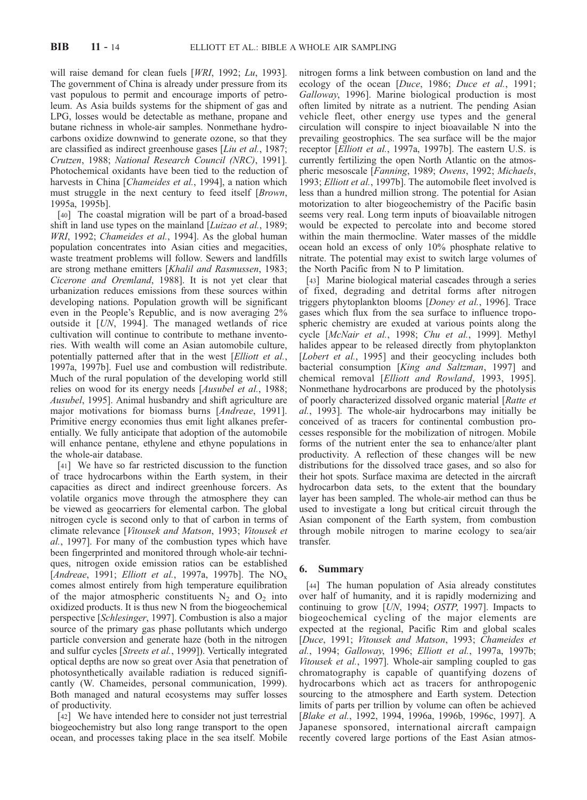will raise demand for clean fuels [WRI, 1992; Lu, 1993]. The government of China is already under pressure from its vast populous to permit and encourage imports of petroleum. As Asia builds systems for the shipment of gas and LPG, losses would be detectable as methane, propane and butane richness in whole-air samples. Nonmethane hydrocarbons oxidize downwind to generate ozone, so that they are classified as indirect greenhouse gases [Liu et al., 1987; Crutzen, 1988; National Research Council (NRC), 1991]. Photochemical oxidants have been tied to the reduction of harvests in China [Chameides et al., 1994], a nation which must struggle in the next century to feed itself [Brown, 1995a, 1995b].

[40] The coastal migration will be part of a broad-based shift in land use types on the mainland [Luizao et al., 1989; WRI, 1992; Chameides et al., 1994]. As the global human population concentrates into Asian cities and megacities, waste treatment problems will follow. Sewers and landfills are strong methane emitters [Khalil and Rasmussen, 1983; Cicerone and Oremland, 1988]. It is not yet clear that urbanization reduces emissions from these sources within developing nations. Population growth will be significant even in the People's Republic, and is now averaging 2% outside it [UN, 1994]. The managed wetlands of rice cultivation will continue to contribute to methane inventories. With wealth will come an Asian automobile culture, potentially patterned after that in the west [Elliott et al., 1997a, 1997b]. Fuel use and combustion will redistribute. Much of the rural population of the developing world still relies on wood for its energy needs [Ausubel et al., 1988; Ausubel, 1995]. Animal husbandry and shift agriculture are major motivations for biomass burns [Andreae, 1991]. Primitive energy economies thus emit light alkanes preferentially. We fully anticipate that adoption of the automobile will enhance pentane, ethylene and ethyne populations in the whole-air database.

[41] We have so far restricted discussion to the function of trace hydrocarbons within the Earth system, in their capacities as direct and indirect greenhouse forcers. As volatile organics move through the atmosphere they can be viewed as geocarriers for elemental carbon. The global nitrogen cycle is second only to that of carbon in terms of climate relevance [Vitousek and Matson, 1993; Vitousek et al., 1997]. For many of the combustion types which have been fingerprinted and monitored through whole-air techniques, nitrogen oxide emission ratios can be established [Andreae, 1991; Elliott et al., 1997a, 1997b]. The  $NO<sub>x</sub>$ comes almost entirely from high temperature equilibration of the major atmospheric constituents  $N_2$  and  $O_2$  into oxidized products. It is thus new N from the biogeochemical perspective [Schlesinger, 1997]. Combustion is also a major source of the primary gas phase pollutants which undergo particle conversion and generate haze (both in the nitrogen and sulfur cycles [Streets et al., 1999]). Vertically integrated optical depths are now so great over Asia that penetration of photosynthetically available radiation is reduced significantly (W. Chameides, personal communication, 1999). Both managed and natural ecosystems may suffer losses of productivity.

[42] We have intended here to consider not just terrestrial biogeochemistry but also long range transport to the open ocean, and processes taking place in the sea itself. Mobile nitrogen forms a link between combustion on land and the ecology of the ocean [Duce, 1986; Duce et al., 1991; Galloway, 1996]. Marine biological production is most often limited by nitrate as a nutrient. The pending Asian vehicle fleet, other energy use types and the general circulation will conspire to inject bioavailable N into the prevailing geostrophics. The sea surface will be the major receptor [Elliott et al., 1997a, 1997b]. The eastern U.S. is currently fertilizing the open North Atlantic on the atmospheric mesoscale [Fanning, 1989; Owens, 1992; Michaels, 1993; Elliott et al., 1997b]. The automobile fleet involved is less than a hundred million strong. The potential for Asian motorization to alter biogeochemistry of the Pacific basin seems very real. Long term inputs of bioavailable nitrogen would be expected to percolate into and become stored within the main thermocline. Water masses of the middle ocean hold an excess of only 10% phosphate relative to nitrate. The potential may exist to switch large volumes of the North Pacific from N to P limitation.

[43] Marine biological material cascades through a series of fixed, degrading and detrital forms after nitrogen triggers phytoplankton blooms [Doney et al., 1996]. Trace gases which flux from the sea surface to influence tropospheric chemistry are exuded at various points along the cycle [McNair et al., 1998; Chu et al., 1999]. Methyl halides appear to be released directly from phytoplankton [*Lobert et al.*, 1995] and their geocycling includes both bacterial consumption [King and Saltzman, 1997] and chemical removal [Elliott and Rowland, 1993, 1995]. Nonmethane hydrocarbons are produced by the photolysis of poorly characterized dissolved organic material [Ratte et al., 1993]. The whole-air hydrocarbons may initially be conceived of as tracers for continental combustion processes responsible for the mobilization of nitrogen. Mobile forms of the nutrient enter the sea to enhance/alter plant productivity. A reflection of these changes will be new distributions for the dissolved trace gases, and so also for their hot spots. Surface maxima are detected in the aircraft hydrocarbon data sets, to the extent that the boundary layer has been sampled. The whole-air method can thus be used to investigate a long but critical circuit through the Asian component of the Earth system, from combustion through mobile nitrogen to marine ecology to sea/air transfer.

## 6. Summary

[44] The human population of Asia already constitutes over half of humanity, and it is rapidly modernizing and continuing to grow [UN, 1994; OSTP, 1997]. Impacts to biogeochemical cycling of the major elements are expected at the regional, Pacific Rim and global scales [Duce, 1991; Vitousek and Matson, 1993; Chameides et al., 1994; Galloway, 1996; Elliott et al., 1997a, 1997b; Vitousek et al., 1997]. Whole-air sampling coupled to gas chromatography is capable of quantifying dozens of hydrocarbons which act as tracers for anthropogenic sourcing to the atmosphere and Earth system. Detection limits of parts per trillion by volume can often be achieved [Blake et al., 1992, 1994, 1996a, 1996b, 1996c, 1997]. A Japanese sponsored, international aircraft campaign recently covered large portions of the East Asian atmos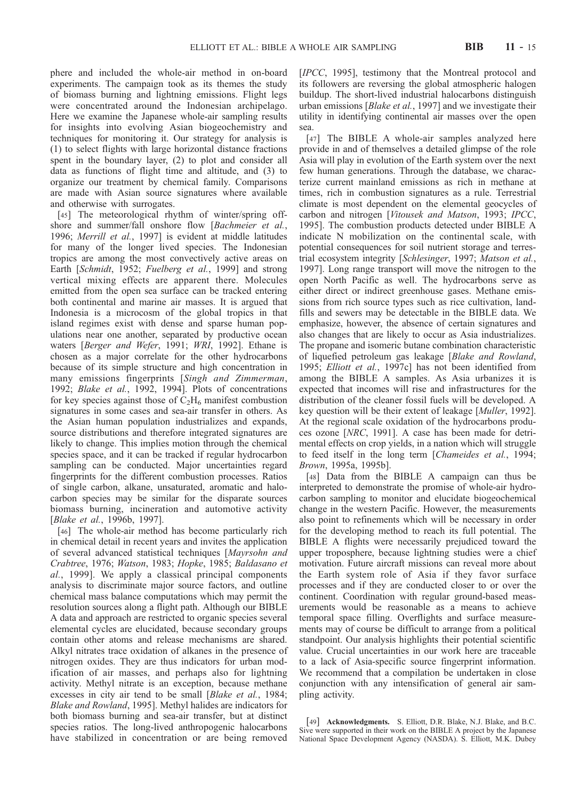phere and included the whole-air method in on-board experiments. The campaign took as its themes the study of biomass burning and lightning emissions. Flight legs were concentrated around the Indonesian archipelago. Here we examine the Japanese whole-air sampling results for insights into evolving Asian biogeochemistry and techniques for monitoring it. Our strategy for analysis is (1) to select flights with large horizontal distance fractions spent in the boundary layer, (2) to plot and consider all data as functions of flight time and altitude, and (3) to organize our treatment by chemical family. Comparisons are made with Asian source signatures where available and otherwise with surrogates.

[45] The meteorological rhythm of winter/spring offshore and summer/fall onshore flow [Bachmeier et al., 1996; Merrill et al., 1997] is evident at middle latitudes for many of the longer lived species. The Indonesian tropics are among the most convectively active areas on Earth [Schmidt, 1952; Fuelberg et al., 1999] and strong vertical mixing effects are apparent there. Molecules emitted from the open sea surface can be tracked entering both continental and marine air masses. It is argued that Indonesia is a microcosm of the global tropics in that island regimes exist with dense and sparse human populations near one another, separated by productive ocean waters [Berger and Wefer, 1991; WRI, 1992]. Ethane is chosen as a major correlate for the other hydrocarbons because of its simple structure and high concentration in many emissions fingerprints [Singh and Zimmerman, 1992; Blake et al., 1992, 1994]. Plots of concentrations for key species against those of  $C_2H_6$  manifest combustion signatures in some cases and sea-air transfer in others. As the Asian human population industrializes and expands, source distributions and therefore integrated signatures are likely to change. This implies motion through the chemical species space, and it can be tracked if regular hydrocarbon sampling can be conducted. Major uncertainties regard fingerprints for the different combustion processes. Ratios of single carbon, alkane, unsaturated, aromatic and halocarbon species may be similar for the disparate sources biomass burning, incineration and automotive activity [Blake et al., 1996b, 1997].

[46] The whole-air method has become particularly rich in chemical detail in recent years and invites the application of several advanced statistical techniques [Mayrsohn and Crabtree, 1976; Watson, 1983; Hopke, 1985; Baldasano et al., 1999]. We apply a classical principal components analysis to discriminate major source factors, and outline chemical mass balance computations which may permit the resolution sources along a flight path. Although our BIBLE A data and approach are restricted to organic species several elemental cycles are elucidated, because secondary groups contain other atoms and release mechanisms are shared. Alkyl nitrates trace oxidation of alkanes in the presence of nitrogen oxides. They are thus indicators for urban modification of air masses, and perhaps also for lightning activity. Methyl nitrate is an exception, because methane excesses in city air tend to be small [Blake et al., 1984; Blake and Rowland, 1995]. Methyl halides are indicators for both biomass burning and sea-air transfer, but at distinct species ratios. The long-lived anthropogenic halocarbons have stabilized in concentration or are being removed

[IPCC, 1995], testimony that the Montreal protocol and its followers are reversing the global atmospheric halogen buildup. The short-lived industrial halocarbons distinguish urban emissions [Blake et al., 1997] and we investigate their utility in identifying continental air masses over the open sea.

[47] The BIBLE A whole-air samples analyzed here provide in and of themselves a detailed glimpse of the role Asia will play in evolution of the Earth system over the next few human generations. Through the database, we characterize current mainland emissions as rich in methane at times, rich in combustion signatures as a rule. Terrestrial climate is most dependent on the elemental geocycles of carbon and nitrogen [Vitousek and Matson, 1993; IPCC, 1995]. The combustion products detected under BIBLE A indicate N mobilization on the continental scale, with potential consequences for soil nutrient storage and terrestrial ecosystem integrity [Schlesinger, 1997; Matson et al., 1997]. Long range transport will move the nitrogen to the open North Pacific as well. The hydrocarbons serve as either direct or indirect greenhouse gases. Methane emissions from rich source types such as rice cultivation, landfills and sewers may be detectable in the BIBLE data. We emphasize, however, the absence of certain signatures and also changes that are likely to occur as Asia industrializes. The propane and isomeric butane combination characteristic of liquefied petroleum gas leakage [Blake and Rowland, 1995; Elliott et al., 1997c] has not been identified from among the BIBLE A samples. As Asia urbanizes it is expected that incomes will rise and infrastructures for the distribution of the cleaner fossil fuels will be developed. A key question will be their extent of leakage [*Muller*, 1992]. At the regional scale oxidation of the hydrocarbons produces ozone [NRC, 1991]. A case has been made for detrimental effects on crop yields, in a nation which will struggle to feed itself in the long term [Chameides et al., 1994; Brown, 1995a, 1995b].

[48] Data from the BIBLE A campaign can thus be interpreted to demonstrate the promise of whole-air hydrocarbon sampling to monitor and elucidate biogeochemical change in the western Pacific. However, the measurements also point to refinements which will be necessary in order for the developing method to reach its full potential. The BIBLE A flights were necessarily prejudiced toward the upper troposphere, because lightning studies were a chief motivation. Future aircraft missions can reveal more about the Earth system role of Asia if they favor surface processes and if they are conducted closer to or over the continent. Coordination with regular ground-based measurements would be reasonable as a means to achieve temporal space filling. Overflights and surface measurements may of course be difficult to arrange from a political standpoint. Our analysis highlights their potential scientific value. Crucial uncertainties in our work here are traceable to a lack of Asia-specific source fingerprint information. We recommend that a compilation be undertaken in close conjunction with any intensification of general air sampling activity.

[49] Acknowledgments. S. Elliott, D.R. Blake, N.J. Blake, and B.C. Sive were supported in their work on the BIBLE A project by the Japanese National Space Development Agency (NASDA). S. Elliott, M.K. Dubey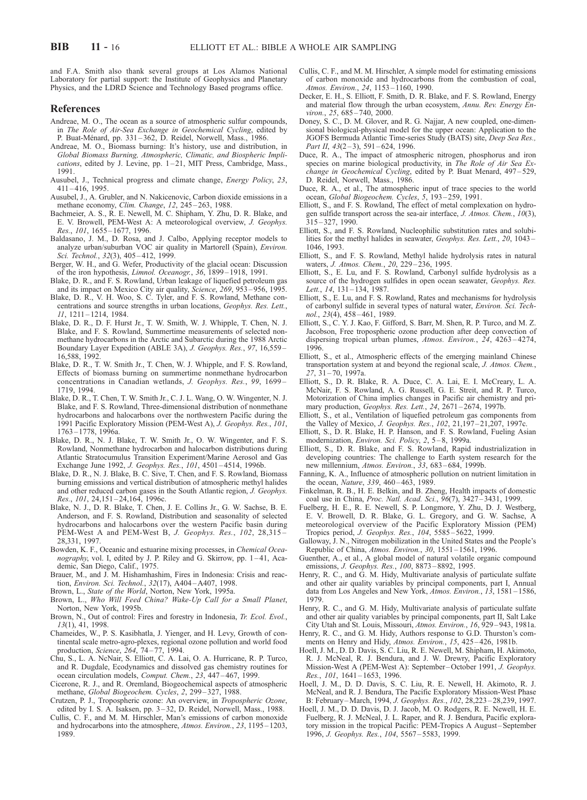and F.A. Smith also thank several groups at Los Alamos National Laboratory for partial support: the Institute of Geophysics and Planetary Physics, and the LDRD Science and Technology Based programs office.

#### References

- Andreae, M. O., The ocean as a source of atmospheric sulfur compounds, in The Role of Air-Sea Exchange in Geochemical Cycling, edited by P. Buat-Ménard, pp. 331-362, D. Reidel, Norwell, Mass., 1986.
- Andreae, M. O., Biomass burning: It's history, use and distribution, in Global Biomass Burning, Atmospheric, Climatic, and Biospheric Implications, edited by J. Levine, pp. 1 – 21, MIT Press, Cambridge, Mass., 1991.
- Ausubel, J., Technical progress and climate change, Energy Policy, 23, 411 – 416, 1995.
- Ausubel, J., A. Grubler, and N. Nakicenovic, Carbon dioxide emissions in a methane economy, Clim. Change, 12, 245 – 263, 1988.
- Bachmeier, A. S., R. E. Newell, M. C. Shipham, Y. Zhu, D. R. Blake, and E. V. Browell, PEM-West A: A meteorological overview, J. Geophys. Res., 101, 1655-1677, 1996.
- Baldasano, J. M., D. Rosa, and J. Calbo, Applying receptor models to analyze urban/suburban VOC air quality in Martorell (Spain), Environ. Sci. Technol., 32(3), 405-412, 1999.
- Berger, W. H., and G. Wefer, Productivity of the glacial ocean: Discussion of the iron hypothesis, Limnol. Oceanogr., 36, 1899 – 1918, 1991.
- Blake, D. R., and F. S. Rowland, Urban leakage of liquefied petroleum gas and its impact on Mexico City air quality, Science, 269, 953 – 956, 1995.
- Blake, D. R., V. H. Woo, S. C. Tyler, and F. S. Rowland, Methane concentrations and source strengths in urban locations, Geophys. Res. Lett., 11, 1211 – 1214, 1984.
- Blake, D. R., D. F. Hurst Jr., T. W. Smith, W. J. Whipple, T. Chen, N. J. Blake, and F. S. Rowland, Summertime measurements of selected nonmethane hydrocarbons in the Arctic and Subarctic during the 1988 Arctic Boundary Layer Expedition (ABLE 3A), J. Geophys. Res., 97, 16,559 – 16,588, 1992.
- Blake, D. R., T. W. Smith Jr., T. Chen, W. J. Whipple, and F. S. Rowland, Effects of biomass burning on summertime nonmethane hydrocarbon concentrations in Canadian wetlands, J. Geophys. Res., 99, 1699 – 1719, 1994.
- Blake, D. R., T. Chen, T. W. Smith Jr., C. J. L. Wang, O. W. Wingenter, N. J. Blake, and F. S. Rowland, Three-dimensional distribution of nonmethane hydrocarbons and halocarbons over the northwestern Pacific during the 1991 Pacific Exploratory Mission (PEM-West A), J. Geophys. Res., 101, 1763 – 1778, 1996a.
- Blake, D. R., N. J. Blake, T. W. Smith Jr., O. W. Wingenter, and F. S. Rowland, Nonmethane hydrocarbon and halocarbon distributions during Atlantic Stratocumulus Transition Experiment/Marine Aerosol and Gas Exchange June 1992, J. Geophys. Res., 101, 4501-4514, 1996b.
- Blake, D. R., N. J. Blake, B. C. Sive, T. Chen, and F. S. Rowland, Biomass burning emissions and vertical distribution of atmospheric methyl halides and other reduced carbon gases in the South Atlantic region, J. Geophys. Res., 101, 24, 151 - 24, 164, 1996c.
- Blake, N. J., D. R. Blake, T. Chen, J. E. Collins Jr., G. W. Sachse, B. E. Anderson, and F. S. Rowland, Distribution and seasonality of selected hydrocarbons and halocarbons over the western Pacific basin during PEM-West A and PEM-West B, J. Geophys. Res., 102, 28,315 -28,331, 1997.
- Bowden, K. F., Oceanic and estuarine mixing processes, in Chemical Oceanography, vol. I, edited by J. P. Riley and G. Skirrow, pp. 1–41, Academic, San Diego, Calif., 1975.
- Brauer, M., and J. M. Hishamhashim, Fires in Indonesia: Crisis and reaction, Environ. Sci. Technol., 32(17), A404 –A407, 1998.
- Brown, L., State of the World, Norton, New York, 1995a.
- Brown, L., Who Will Feed China? Wake-Up Call for a Small Planet, Norton, New York, 1995b.
- Brown, N., Out of control: Fires and forestry in Indonesia, Tr. Ecol. Evol., 13(1), 41, 1998.
- Chameides, W., P. S. Kasibhatla, J. Yienger, and H. Levy, Growth of continental scale metro-agro-plexes, regional ozone pollution and world food production, Science, 264, 74 – 77, 1994.
- Chu, S., L. A. NcNair, S. Elliott, C. A. Lai, O. A. Hurricane, R. P. Turco, and R. Dugdale, Ecodynamics and dissolved gas chemistry routines for ocean circulation models, Comput. Chem., 23, 447 – 467, 1999.
- Cicerone, R. J., and R. Oremland, Biogeochemical aspects of atmospheric methane, Global Biogeochem. Cycles, 2, 299 – 327, 1988.
- Crutzen, P. J., Tropospheric ozone: An overview, in Tropospheric Ozone, edited by I. S. A. Isaksen, pp. 3-32, D. Reidel, Norwell, Mass., 1988.
- Cullis, C. F., and M. M. Hirschler, Man's emissions of carbon monoxide and hydrocarbons into the atmosphere, Atmos. Environ., 23, 1195 – 1203, 1989.
- Cullis, C. F., and M. M. Hirschler, A simple model for estimating emissions of carbon monoxide and hydrocarbons from the combustion of coal, Atmos. Environ., 24, 1153 – 1160, 1990.
- Decker, E. H., S. Elliott, F. Smith, D. R. Blake, and F. S. Rowland, Energy and material flow through the urban ecosystem, Annu. Rev. Energy Environ., 25, 685-740, 2000.
- Doney, S. C., D. M. Glover, and R. G. Najjar, A new coupled, one-dimensional biological-physical model for the upper ocean: Application to the JGOFS Bermuda Atlantic Time-series Study (BATS) site, Deep Sea Res., Part II,  $43(2-3)$ ,  $591-624$ , 1996.
- Duce, R. A., The impact of atmospheric nitrogen, phosphorus and iron species on marine biological productivity, in The Role of Air Sea Exchange in Geochemical Cycling, edited by P. Buat Menard, 497-529, D. Reidel, Norwell, Mass., 1986.
- Duce, R. A., et al., The atmospheric input of trace species to the world ocean, Global Biogeochem. Cycles, 5, 193-259, 1991.
- Elliott, S., and F. S. Rowland, The effect of metal complexation on hydrogen sulfide transport across the sea-air interface, J. Atmos. Chem., 10(3),  $315 - 327$ , 1990.
- Elliott, S., and F. S. Rowland, Nucleophilic substitution rates and solubilities for the methyl halides in seawater, Geophys. Res. Lett., 20, 1043 – 1046, 1993.
- Elliott, S., and F. S. Rowland, Methyl halide hydrolysis rates in natural waters, *J. Atmos. Chem.*, 20, 229-236, 1995.
- Elliott, S., E. Lu, and F. S. Rowland, Carbonyl sulfide hydrolysis as a source of the hydrogen sulfides in open ocean seawater, Geophys. Res. Lett., 14, 131-134, 1987.
- Elliott, S., E. Lu, and F. S. Rowland, Rates and mechanisms for hydrolysis of carbonyl sulfide in several types of natural water, Environ. Sci. Technol., 23(4), 458-461, 1989.
- Elliott, S., C. Y. J. Kao, F. Gifford, S. Barr, M. Shen, R. P. Turco, and M. Z. Jacobson, Free tropospheric ozone production after deep convection of dispersing tropical urban plumes, Atmos. Environ., 24, 4263 – 4274, 1996.
- Elliott, S., et al., Atmospheric effects of the emerging mainland Chinese transportation system at and beyond the regional scale, J. Atmos. Chem., 27, 31 – 70, 1997a.
- Elliott, S., D. R. Blake, R. A. Duce, C. A. Lai, E. I. McCreary, L. A. McNair, F. S. Rowland, A. G. Russell, G. E. Streit, and R. P. Turco, Motorization of China implies changes in Pacific air chemistry and primary production, Geophys. Res. Lett., 24, 2671 – 2674, 1997b.
- Elliott, S., et al., Ventilation of liquefied petroleum gas components from the Valley of Mexico, J. Geophys. Res., 102, 21,197 – 21,207, 1997c.
- Elliott, S., D. R. Blake, H. P. Hanson, and F. S. Rowland, Fueling Asian modernization, Environ. Sci. Policy, 2, 5 – 8, 1999a.
- Elliott, S., D. R. Blake, and F. S. Rowland, Rapid industrialization in developing countries: The challenge to Earth system research for the new millennium, Atmos. Environ., 33, 683-684, 1999b.
- Fanning, K. A., Influence of atmospheric pollution on nutrient limitation in the ocean, *Nature*, 339, 460-463, 1989.
- Finkelman, R. B., H. E. Belkin, and B. Zheng, Health impacts of domestic coal use in China, Proc. Natl. Acad. Sci., 96(7), 3427-3431, 1999.
- Fuelberg, H. E., R. E. Newell, S. P. Longmore, Y. Zhu, D. J. Westberg, E. V. Browell, D. R. Blake, G. L. Gregory, and G. W. Sachse, A meteorological overview of the Pacific Exploratory Mission (PEM) Tropics period, J. Geophys. Res., 104, 5585-5622, 1999.
- Galloway, J. N., Nitrogen mobilization in the United States and the People's Republic of China, Atmos. Environ., 30, 1551 – 1561, 1996.
- Guenther, A., et al., A global model of natural volatile organic compound emissions, J. Geophys. Res., 100, 8873 – 8892, 1995.
- Henry, R. C., and G. M. Hidy, Multivariate analysis of particulate sulfate and other air quality variables by principal components, part I, Annual data from Los Angeles and New York, Atmos. Environ., 13, 1581-1586, 1979.
- Henry, R. C., and G. M. Hidy, Multivariate analysis of particulate sulfate and other air quality variables by principal components, part II, Salt Lake City Utah and St. Louis, Missouri, Atmos. Environ., 16, 929 – 943, 1981a.
- Henry, R. C., and G. M. Hidy, Authors response to G.D. Thurston's comments on Henry and Hidy, Atmos. Environ., 15, 425-426, 1981b.
- Hoell, J. M., D. D. Davis, S. C. Liu, R. E. Newell, M. Shipham, H. Akimoto, R. J. McNeal, R. J. Bendura, and J. W. Drewry, Pacific Exploratory Mission-West A (PEM-West A): September –October 1991, J. Geophys. Res., 101, 1641-1653, 1996.
- Hoell, J. M., D. D. Davis, S. C. Liu, R. E. Newell, H. Akimoto, R. J. McNeal, and R. J. Bendura, The Pacific Exploratory Mission-West Phase B: February –March, 1994, J. Geophys. Res., 102, 28,223 – 28,239, 1997.
- Hoell, J. M., D. D. Davis, D. J. Jacob, M. O. Rodgers, R. E. Newell, H. E. Fuelberg, R. J. McNeal, J. L. Raper, and R. J. Bendura, Pacific exploratory mission in the tropical Pacific: PEM-Tropics A August-September 1996, J. Geophys. Res., 104, 5567 – 5583, 1999.